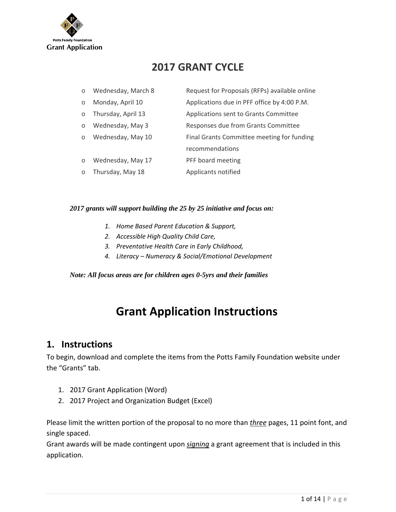

# **2017 GRANT CYCLE**

| $\circ$  | Wednesday, March 8 | Request for Proposals (RFPs) available online |
|----------|--------------------|-----------------------------------------------|
| $\circ$  | Monday, April 10   | Applications due in PFF office by 4:00 P.M.   |
| $\circ$  | Thursday, April 13 | Applications sent to Grants Committee         |
| $\circ$  | Wednesday, May 3   | Responses due from Grants Committee           |
| $\Omega$ | Wednesday, May 10  | Final Grants Committee meeting for funding    |
|          |                    | recommendations                               |
| $\circ$  | Wednesday, May 17  | PFF board meeting                             |
| $\circ$  | Thursday, May 18   | Applicants notified                           |
|          |                    |                                               |

#### *2017 grants will support building the 25 by 25 initiative and focus on:*

- *1. Home Based Parent Education & Support,*
- *2. Accessible High Quality Child Care,*
- *3. Preventative Health Care in Early Childhood,*
- *4. Literacy – Numeracy & Social/Emotional Development*

#### *Note: All focus areas are for children ages 0-5yrs and their families*

# **Grant Application Instructions**

### **1. Instructions**

To begin, download and complete the items from the Potts Family Foundation website under the "Grants" tab.

- 1. 2017 Grant Application (Word)
- 2. 2017 Project and Organization Budget (Excel)

Please limit the written portion of the proposal to no more than *three* pages, 11 point font, and single spaced.

Grant awards will be made contingent upon *signing* a grant agreement that is included in this application.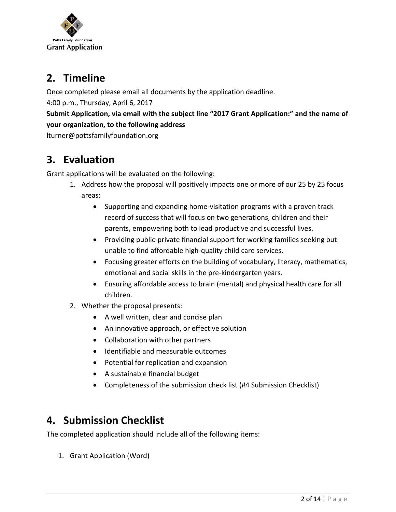

# **2. Timeline**

Once completed please email all documents by the application deadline.

4:00 p.m., Thursday, April 6, 2017

**Submit Application, via email with the subject line "2017 Grant Application:" and the name of your organization, to the following address**

lturner@pottsfamilyfoundation.org

# **3. Evaluation**

Grant applications will be evaluated on the following:

- 1. Address how the proposal will positively impacts one or more of our 25 by 25 focus areas:
	- Supporting and expanding home-visitation programs with a proven track record of success that will focus on two generations, children and their parents, empowering both to lead productive and successful lives.
	- Providing public-private financial support for working families seeking but unable to find affordable high‐quality child care services.
	- Focusing greater efforts on the building of vocabulary, literacy, mathematics, emotional and social skills in the pre‐kindergarten years.
	- Ensuring affordable access to brain (mental) and physical health care for all children.
- 2. Whether the proposal presents:
	- A well written, clear and concise plan
	- An innovative approach, or effective solution
	- Collaboration with other partners
	- Identifiable and measurable outcomes
	- Potential for replication and expansion
	- A sustainable financial budget
	- Completeness of the submission check list (#4 Submission Checklist)

# **4. Submission Checklist**

The completed application should include all of the following items:

1. Grant Application (Word)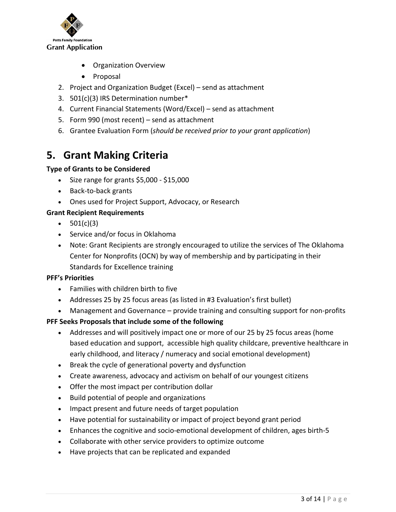

- Organization Overview
- Proposal
- 2. Project and Organization Budget (Excel) send as attachment
- 3. 501(c)(3) IRS Determination number\*
- 4. Current Financial Statements (Word/Excel) send as attachment
- 5. Form 990 (most recent) send as attachment
- 6. Grantee Evaluation Form (*should be received prior to your grant application*)

# **5. Grant Making Criteria**

### **Type of Grants to be Considered**

- Size range for grants \$5,000 \$15,000
- Back-to-back grants
- Ones used for Project Support, Advocacy, or Research

### **Grant Recipient Requirements**

- $\bullet$  501(c)(3)
- Service and/or focus in Oklahoma
- Note: Grant Recipients are strongly encouraged to utilize the services of The Oklahoma Center for Nonprofits (OCN) by way of membership and by participating in their Standards for Excellence training

### **PFF's Priorities**

- Families with children birth to five
- Addresses 25 by 25 focus areas (as listed in #3 Evaluation's first bullet)
- Management and Governance provide training and consulting support for non-profits

### **PFF Seeks Proposals that include some of the following**

- Addresses and will positively impact one or more of our 25 by 25 focus areas (home based education and support, accessible high quality childcare, preventive healthcare in early childhood, and literacy / numeracy and social emotional development)
- Break the cycle of generational poverty and dysfunction
- Create awareness, advocacy and activism on behalf of our youngest citizens
- Offer the most impact per contribution dollar
- Build potential of people and organizations
- Impact present and future needs of target population
- Have potential for sustainability or impact of project beyond grant period
- Enhances the cognitive and socio‐emotional development of children, ages birth‐5
- Collaborate with other service providers to optimize outcome
- Have projects that can be replicated and expanded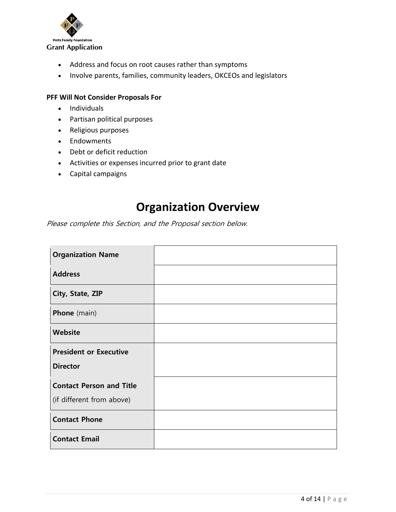

- Address and focus on root causes rather than symptoms
- Involve parents, families, community leaders, OKCEOs and legislators

#### **PFF Will Not Consider Proposals For**

- Individuals
- Partisan political purposes
- Religious purposes
- Endowments
- Debt or deficit reduction
- Activities or expenses incurred prior to grant date
- Capital campaigns

# **Organization Overview**

Please complete this Section, and the Proposal section below.

| <b>Organization Name</b>                                     |  |
|--------------------------------------------------------------|--|
| <b>Address</b>                                               |  |
| City, State, ZIP                                             |  |
| <b>Phone</b> (main)                                          |  |
| Website                                                      |  |
| <b>President or Executive</b><br><b>Director</b>             |  |
| <b>Contact Person and Title</b><br>(if different from above) |  |
| <b>Contact Phone</b>                                         |  |
| <b>Contact Email</b>                                         |  |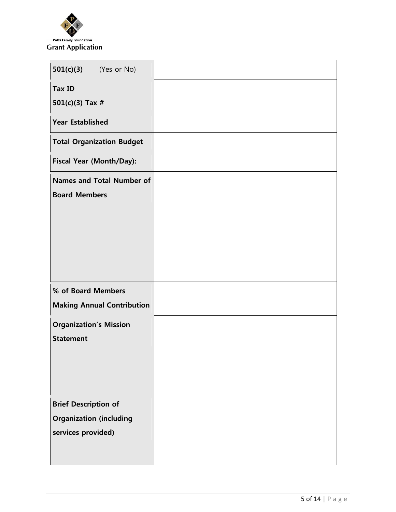

| $501(c)(3)$ (Yes or No)                                                             |  |
|-------------------------------------------------------------------------------------|--|
| <b>Tax ID</b><br>501(c)(3) Tax $#$                                                  |  |
| <b>Year Established</b>                                                             |  |
| <b>Total Organization Budget</b>                                                    |  |
| Fiscal Year (Month/Day):                                                            |  |
| <b>Names and Total Number of</b><br><b>Board Members</b>                            |  |
|                                                                                     |  |
| % of Board Members<br><b>Making Annual Contribution</b>                             |  |
| <b>Organization's Mission</b><br><b>Statement</b>                                   |  |
| <b>Brief Description of</b><br><b>Organization (including</b><br>services provided) |  |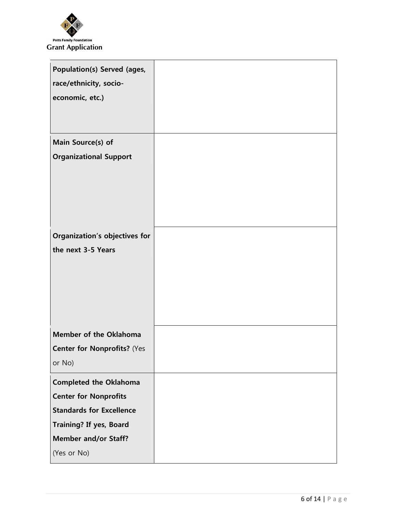

| <b>Population(s) Served (ages,</b><br>race/ethnicity, socio-<br>economic, etc.) |  |
|---------------------------------------------------------------------------------|--|
| Main Source(s) of                                                               |  |
| <b>Organizational Support</b>                                                   |  |
| <b>Organization's objectives for</b><br>the next 3-5 Years                      |  |
|                                                                                 |  |
| <b>Member of the Oklahoma</b>                                                   |  |
| <b>Center for Nonprofits? (Yes</b>                                              |  |
| or No)                                                                          |  |
| <b>Completed the Oklahoma</b>                                                   |  |
| <b>Center for Nonprofits</b>                                                    |  |
| <b>Standards for Excellence</b>                                                 |  |
| <b>Training? If yes, Board</b>                                                  |  |
| <b>Member and/or Staff?</b>                                                     |  |
| (Yes or No)                                                                     |  |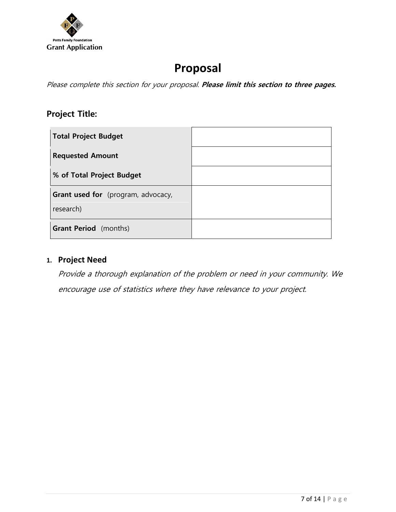

# **Proposal**

Please complete this section for your proposal. **Please limit this section to three pages.**

# **Project Title:**

| <b>Total Project Budget</b>                            |  |
|--------------------------------------------------------|--|
| <b>Requested Amount</b>                                |  |
| % of Total Project Budget                              |  |
| <b>Grant used for</b> (program, advocacy,<br>research) |  |
| <b>Grant Period</b> (months)                           |  |

### **1. Project Need**

Provide a thorough explanation of the problem or need in your community. We encourage use of statistics where they have relevance to your project.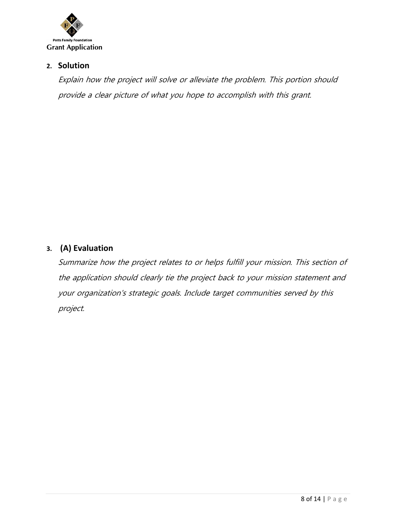

### **2. Solution**

Explain how the project will solve or alleviate the problem. This portion should provide a clear picture of what you hope to accomplish with this grant.

## **3. (A) Evaluation**

Summarize how the project relates to or helps fulfill your mission. This section of the application should clearly tie the project back to your mission statement and your organization's strategic goals. Include target communities served by this project.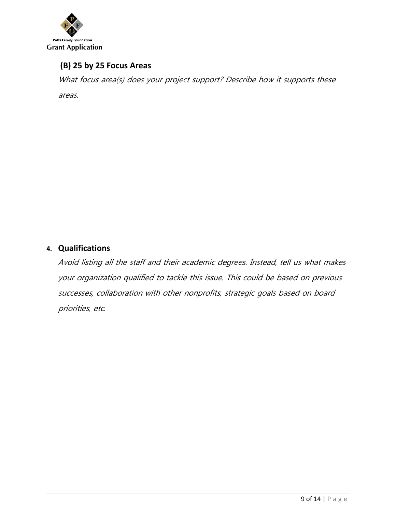

## **(B) 25 by 25 Focus Areas**

What focus area(s) does your project support? Describe how it supports these areas.

## **4. Qualifications**

Avoid listing all the staff and their academic degrees. Instead, tell us what makes your organization qualified to tackle this issue. This could be based on previous successes, collaboration with other nonprofits, strategic goals based on board priorities, etc.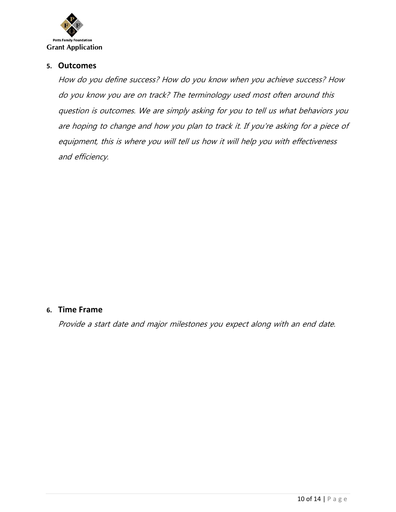

#### **5. Outcomes**

How do you define success? How do you know when you achieve success? How do you know you are on track? The terminology used most often around this question is outcomes. We are simply asking for you to tell us what behaviors you are hoping to change and how you plan to track it. If you're asking for a piece of equipment, this is where you will tell us how it will help you with effectiveness and efficiency.

#### **6. Time Frame**

Provide a start date and major milestones you expect along with an end date.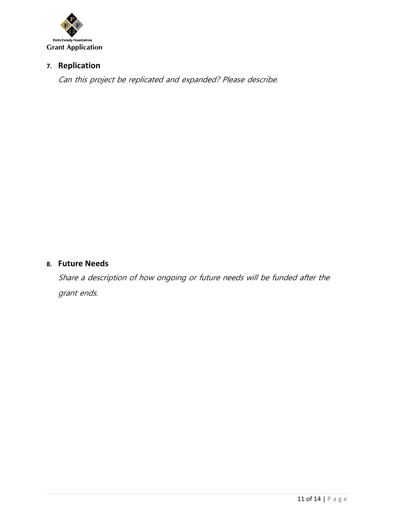

# **7. Replication**

Can this project be replicated and expanded? Please describe.

### **8. Future Needs**

Share a description of how ongoing or future needs will be funded after the grant ends.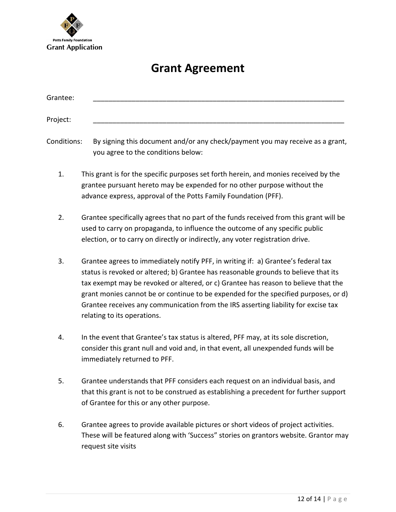

# **Grant Agreement**

| Grantee: |                                                                                                                                                                                                                                   |
|----------|-----------------------------------------------------------------------------------------------------------------------------------------------------------------------------------------------------------------------------------|
| Project: |                                                                                                                                                                                                                                   |
|          | $\bullet$ is the set of the set of the set of the set of the set of the set of the set of the set of the set of the set of the set of the set of the set of the set of the set of the set of the set of the set of the set of the |

Conditions: By signing this document and/or any check/payment you may receive as a grant, you agree to the conditions below:

- 1. This grant is for the specific purposes set forth herein, and monies received by the grantee pursuant hereto may be expended for no other purpose without the advance express, approval of the Potts Family Foundation (PFF).
- 2. Grantee specifically agrees that no part of the funds received from this grant will be used to carry on propaganda, to influence the outcome of any specific public election, or to carry on directly or indirectly, any voter registration drive.
- 3. Grantee agrees to immediately notify PFF, in writing if: a) Grantee's federal tax status is revoked or altered; b) Grantee has reasonable grounds to believe that its tax exempt may be revoked or altered, or c) Grantee has reason to believe that the grant monies cannot be or continue to be expended for the specified purposes, or d) Grantee receives any communication from the IRS asserting liability for excise tax relating to its operations.
- 4. In the event that Grantee's tax status is altered, PFF may, at its sole discretion, consider this grant null and void and, in that event, all unexpended funds will be immediately returned to PFF.
- 5. Grantee understands that PFF considers each request on an individual basis, and that this grant is not to be construed as establishing a precedent for further support of Grantee for this or any other purpose.
- 6. Grantee agrees to provide available pictures or short videos of project activities. These will be featured along with 'Success" stories on grantors website. Grantor may request site visits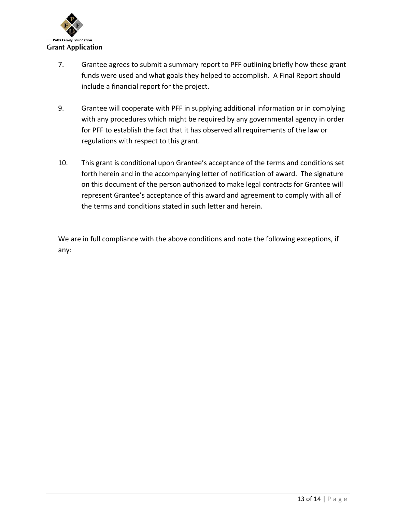

- 7. Grantee agrees to submit a summary report to PFF outlining briefly how these grant funds were used and what goals they helped to accomplish. A Final Report should include a financial report for the project.
- 9. Grantee will cooperate with PFF in supplying additional information or in complying with any procedures which might be required by any governmental agency in order for PFF to establish the fact that it has observed all requirements of the law or regulations with respect to this grant.
- 10. This grant is conditional upon Grantee's acceptance of the terms and conditions set forth herein and in the accompanying letter of notification of award. The signature on this document of the person authorized to make legal contracts for Grantee will represent Grantee's acceptance of this award and agreement to comply with all of the terms and conditions stated in such letter and herein.

We are in full compliance with the above conditions and note the following exceptions, if any: